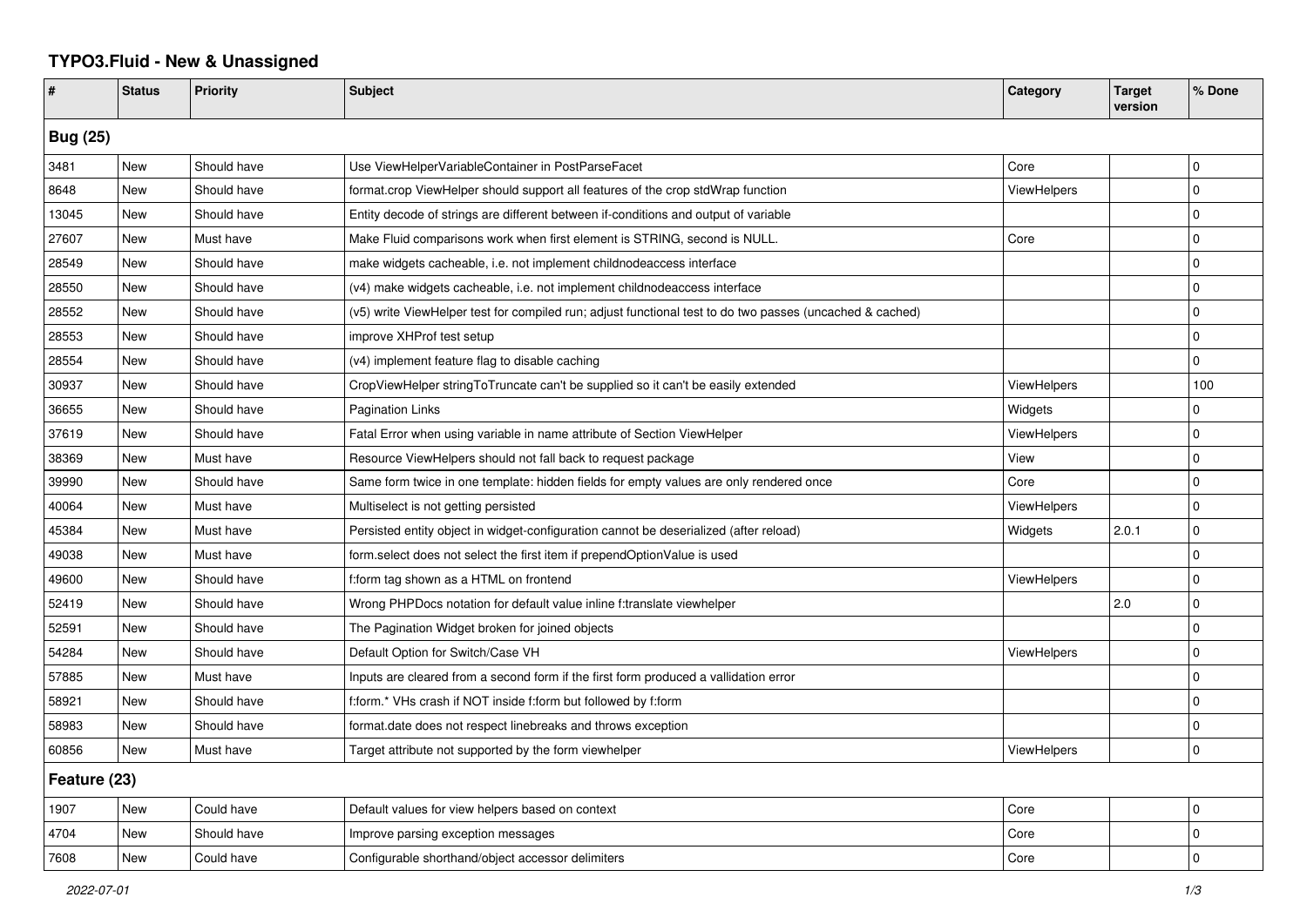## **TYPO3.Fluid - New & Unassigned**

| #               | <b>Status</b> | <b>Priority</b> | <b>Subject</b>                                                                                           | Category           | <b>Target</b><br>version | % Done      |  |  |
|-----------------|---------------|-----------------|----------------------------------------------------------------------------------------------------------|--------------------|--------------------------|-------------|--|--|
| <b>Bug (25)</b> |               |                 |                                                                                                          |                    |                          |             |  |  |
| 3481            | <b>New</b>    | Should have     | Use ViewHelperVariableContainer in PostParseFacet                                                        | Core               |                          | l 0         |  |  |
| 8648            | <b>New</b>    | Should have     | format.crop ViewHelper should support all features of the crop stdWrap function                          | ViewHelpers        |                          | $\Omega$    |  |  |
| 13045           | New           | Should have     | Entity decode of strings are different between if-conditions and output of variable                      |                    |                          | $\Omega$    |  |  |
| 27607           | New           | Must have       | Make Fluid comparisons work when first element is STRING, second is NULL.                                | Core               |                          | $\Omega$    |  |  |
| 28549           | New           | Should have     | make widgets cacheable, i.e. not implement childnodeaccess interface                                     |                    |                          | $\Omega$    |  |  |
| 28550           | New           | Should have     | (v4) make widgets cacheable, i.e. not implement childnodeaccess interface                                |                    |                          | $\Omega$    |  |  |
| 28552           | New           | Should have     | (v5) write ViewHelper test for compiled run; adjust functional test to do two passes (uncached & cached) |                    |                          | $\mathbf 0$ |  |  |
| 28553           | New           | Should have     | improve XHProf test setup                                                                                |                    |                          | $\mathbf 0$ |  |  |
| 28554           | New           | Should have     | (v4) implement feature flag to disable caching                                                           |                    |                          | $\Omega$    |  |  |
| 30937           | New           | Should have     | CropViewHelper stringToTruncate can't be supplied so it can't be easily extended                         | <b>ViewHelpers</b> |                          | 100         |  |  |
| 36655           | New           | Should have     | <b>Pagination Links</b>                                                                                  | Widgets            |                          | $\mathbf 0$ |  |  |
| 37619           | <b>New</b>    | Should have     | Fatal Error when using variable in name attribute of Section ViewHelper                                  | <b>ViewHelpers</b> |                          | $\mathbf 0$ |  |  |
| 38369           | New           | Must have       | Resource ViewHelpers should not fall back to request package                                             | View               |                          | $\Omega$    |  |  |
| 39990           | New           | Should have     | Same form twice in one template: hidden fields for empty values are only rendered once                   | Core               |                          | $\Omega$    |  |  |
| 40064           | <b>New</b>    | Must have       | Multiselect is not getting persisted                                                                     | ViewHelpers        |                          | $\mathbf 0$ |  |  |
| 45384           | New           | Must have       | Persisted entity object in widget-configuration cannot be deserialized (after reload)                    | Widgets            | 2.0.1                    | $\mathbf 0$ |  |  |
| 49038           | New           | Must have       | form.select does not select the first item if prependOptionValue is used                                 |                    |                          | $\Omega$    |  |  |
| 49600           | New           | Should have     | f:form tag shown as a HTML on frontend                                                                   | <b>ViewHelpers</b> |                          | $\Omega$    |  |  |
| 52419           | New           | Should have     | Wrong PHPDocs notation for default value inline f:translate viewhelper                                   |                    | 2.0                      | $\mathbf 0$ |  |  |
| 52591           | New           | Should have     | The Pagination Widget broken for joined objects                                                          |                    |                          | $\mathbf 0$ |  |  |
| 54284           | New           | Should have     | Default Option for Switch/Case VH                                                                        | ViewHelpers        |                          | $\mathbf 0$ |  |  |
| 57885           | New           | Must have       | Inputs are cleared from a second form if the first form produced a vallidation error                     |                    |                          | $\mathbf 0$ |  |  |
| 58921           | <b>New</b>    | Should have     | f:form.* VHs crash if NOT inside f:form but followed by f:form                                           |                    |                          | $\mathbf 0$ |  |  |
| 58983           | New           | Should have     | format.date does not respect linebreaks and throws exception                                             |                    |                          | $\Omega$    |  |  |
| 60856           | New           | Must have       | Target attribute not supported by the form viewhelper                                                    | ViewHelpers        |                          | $\mathbf 0$ |  |  |
| Feature (23)    |               |                 |                                                                                                          |                    |                          |             |  |  |
| 1907            | New           | Could have      | Default values for view helpers based on context                                                         | Core               |                          | $\pmb{0}$   |  |  |
| 4704            | New           | Should have     | Improve parsing exception messages                                                                       | Core               |                          | $\mathbf 0$ |  |  |
| 7608            | New           | Could have      | Configurable shorthand/object accessor delimiters                                                        | Core               |                          | $\Omega$    |  |  |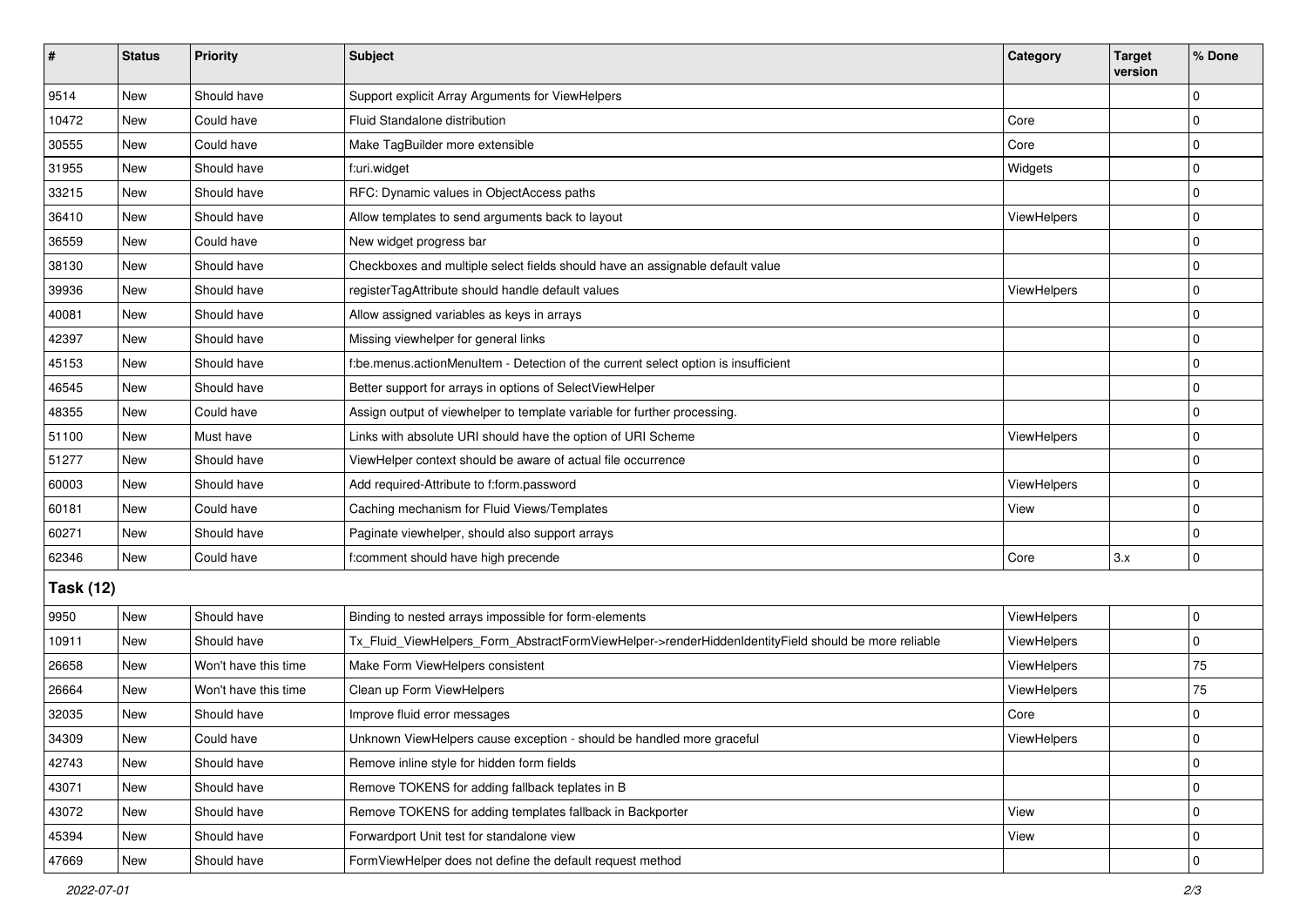| $\vert$ #        | <b>Status</b> | Priority             | Subject                                                                                             | Category           | <b>Target</b><br>version | % Done       |  |  |
|------------------|---------------|----------------------|-----------------------------------------------------------------------------------------------------|--------------------|--------------------------|--------------|--|--|
| 9514             | New           | Should have          | Support explicit Array Arguments for ViewHelpers                                                    |                    |                          | $\Omega$     |  |  |
| 10472            | New           | Could have           | Fluid Standalone distribution                                                                       | Core               |                          | 0            |  |  |
| 30555            | New           | Could have           | Make TagBuilder more extensible                                                                     | Core               |                          | $\Omega$     |  |  |
| 31955            | <b>New</b>    | Should have          | f:uri.widget                                                                                        | Widgets            |                          | 0            |  |  |
| 33215            | New           | Should have          | RFC: Dynamic values in ObjectAccess paths                                                           |                    |                          | 0            |  |  |
| 36410            | New           | Should have          | Allow templates to send arguments back to layout                                                    | <b>ViewHelpers</b> |                          | $\mathbf 0$  |  |  |
| 36559            | New           | Could have           | New widget progress bar                                                                             |                    |                          | 0            |  |  |
| 38130            | New           | Should have          | Checkboxes and multiple select fields should have an assignable default value                       |                    |                          | $\mathbf 0$  |  |  |
| 39936            | New           | Should have          | registerTagAttribute should handle default values                                                   | ViewHelpers        |                          | $\mathbf 0$  |  |  |
| 40081            | New           | Should have          | Allow assigned variables as keys in arrays                                                          |                    |                          | 0            |  |  |
| 42397            | New           | Should have          | Missing viewhelper for general links                                                                |                    |                          | $\Omega$     |  |  |
| 45153            | <b>New</b>    | Should have          | f:be.menus.actionMenuItem - Detection of the current select option is insufficient                  |                    |                          | $\mathbf 0$  |  |  |
| 46545            | New           | Should have          | Better support for arrays in options of SelectViewHelper                                            |                    |                          | $\mathbf 0$  |  |  |
| 48355            | <b>New</b>    | Could have           | Assign output of viewhelper to template variable for further processing.                            |                    |                          | $\mathbf 0$  |  |  |
| 51100            | New           | Must have            | Links with absolute URI should have the option of URI Scheme                                        | <b>ViewHelpers</b> |                          | 0            |  |  |
| 51277            | New           | Should have          | ViewHelper context should be aware of actual file occurrence                                        |                    |                          | $\Omega$     |  |  |
| 60003            | <b>New</b>    | Should have          | Add required-Attribute to f:form.password                                                           | <b>ViewHelpers</b> |                          | $\mathbf 0$  |  |  |
| 60181            | New           | Could have           | Caching mechanism for Fluid Views/Templates                                                         | View               |                          | $\mathbf 0$  |  |  |
| 60271            | New           | Should have          | Paginate viewhelper, should also support arrays                                                     |                    |                          | $\mathbf 0$  |  |  |
| 62346            | <b>New</b>    | Could have           | f:comment should have high precende                                                                 | Core               | 3.x                      | $\mathbf 0$  |  |  |
| <b>Task (12)</b> |               |                      |                                                                                                     |                    |                          |              |  |  |
| 9950             | New           | Should have          | Binding to nested arrays impossible for form-elements                                               | ViewHelpers        |                          | 0            |  |  |
| 10911            | <b>New</b>    | Should have          | Tx_Fluid_ViewHelpers_Form_AbstractFormViewHelper->renderHiddenIdentityField should be more reliable | ViewHelpers        |                          | 0            |  |  |
| 26658            | New           | Won't have this time | Make Form ViewHelpers consistent                                                                    | ViewHelpers        |                          | 75           |  |  |
| 26664            | <b>New</b>    | Won't have this time | Clean up Form ViewHelpers                                                                           | ViewHelpers        |                          | 75           |  |  |
| 32035            | New           | Should have          | Improve fluid error messages                                                                        | Core               |                          | 0            |  |  |
| 34309            | New           | Could have           | Unknown ViewHelpers cause exception - should be handled more graceful                               | ViewHelpers        |                          | 0            |  |  |
| 42743            | New           | Should have          | Remove inline style for hidden form fields                                                          |                    |                          | $\mathbf 0$  |  |  |
| 43071            | New           | Should have          | Remove TOKENS for adding fallback teplates in B                                                     |                    |                          | $\mathbf 0$  |  |  |
| 43072            | New           | Should have          | Remove TOKENS for adding templates fallback in Backporter                                           | View               |                          | $\mathbf 0$  |  |  |
| 45394            | New           | Should have          | Forwardport Unit test for standalone view                                                           | View               |                          | 0            |  |  |
| 47669            | New           | Should have          | FormViewHelper does not define the default request method                                           |                    |                          | $\mathbf{0}$ |  |  |